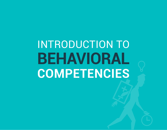# INTRODUCTION TO **BEHAVIORAL COMPETENCIES**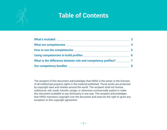# **Table of Contents**

The recipient of this document acknowledges that HRSG is the owner or the licensee of all intellectual property rights in the material published. Those works are protected by copyright laws and treaties around the world. The recipient shall not license, sublicense, sell, resell, transfer, assign, or otherwise commercially exploit or make this document available to any third party in any way. The recipient acknowledges that HRSG maintains copyright over the document and reserves the right to grant any exception to this copyright agreement.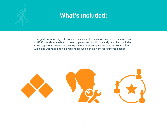<span id="page-2-0"></span>

# **What's included:**

This guide introduces you to competencies, and to the various ways we package them at HRSG. We show you how to use competencies to build role and job profiles, including three steps for success. We also explain our three competency bundles: Foundation, Align, and Optimize, and help you choose which one is right for your organization.

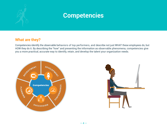<span id="page-3-0"></span>

### **Competencies**

#### **What are they?**

Competencies identify the observable behaviors of top performers, and describe not just WHAT these employees do, but HOW they do it. By describing the "how" and presenting the information as observable phenomena, competencies give you a more practical, accurate way to identify, retain, and develop the talent your organization needs.



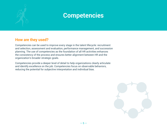<span id="page-4-0"></span>

### **Competencies**

#### **How are they used?**

Competencies can be used to improve every stage in the talent lifecycle: recruitment and selection, assessment and evaluation, performance management, and succession planning. The use of competencies as the foundation of all HR activities enhances the consistency of the process and ensures better alignment between HR and the organization's broader strategic goals.

Competencies provide a deeper level of detail to help organizations clearly articulate and identify excellence on the job. Competencies focus on observable behaviors, reducing the potential for subjective interpretation and individual bias.

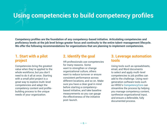# <span id="page-5-0"></span>**Using competencies to build competency profiles**

**Competency profiles are the foundation of any competency-based initiative. Articulating competencies and proficiency levels at the job level brings greater focus and continuity to the entire talent-management lifecycle. We offer the following recommendations for organizations that are planning to implement competencies.**

#### **1. Start with a pilot project**

Competencies bring the greatest value when they're applied to the whole workforce, but you don't need to do it all at once. Starting with a small pilot project is a great way to explore multi-level competencies and adapt the competency content and profilebuilding process to the unique needs of your organization.

#### **2. Identify the goal**

HR professionals use competencies for many reasons. Some want to strengthen or change organizational culture, others want to reduce turnover or ensure consistent performance across different locations, and so on. Make sure you have a clear goal in mind before starting a competencybased initiative, and take baseline measurements so you can gauge the effectiveness of the initiative post-launch.

#### **3. Leverage automation tools**

Using tools such as spreadsheets, email, and Word documents to select and apply multi-level competencies to job profiles can add to the challenge. Using nextgeneration software tools such as HRSG's [CompetencyCore](http://www.hrsg.ca/software) can streamline the process by helping you manage competency content, synthesize organizational input, and ensure a defensible, fully documented process.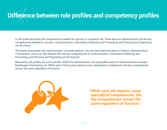# <span id="page-6-0"></span>**Difference between role profiles and competency profiles**

A role profile describes the competencies needed for success in a general role. Think about an Administrator and the key competencies needed for success. Communication, Information Gathering and Processing, and Planning and Organizing are all critical.

The duties associated with "Administrator" are quite general. You can have Administrators in Finance, Administration, Procurement, and so on. But despite this, the key competencies of Communication, Information Gathering and Processing, and Planning and Organizing are all required.

Meanwhile, job profiles are more specific. Within the Administrator role, job profiles exist for Administrative Assistant, Bookkeeper, Purchasing, etc. While each of these jobs requires some specialized competencies, the key competencies remain the same regardless of function.



*"While each job requires some specialized competencies, the key competencies remain the same regardless of function."*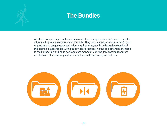<span id="page-7-0"></span>

All of our competency bundles contain multi-level competencies that can be used to align and improve the entire talent life cycle. They can be easily customized to fit your organization's unique goals and talent requirements, and have been developed and maintained in accordance with industry best practices. All the competencies included in the Foundation and Align packages are mapped to on-the-job learning resources and behavioral interview questions, which are sold separately as add ons.

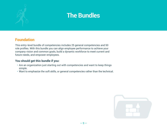

#### **Foundation**

This entry-level bundle of competencies includes 25 general competencies and 50 role profiles. With this bundle you can align employee performance to achieve your company vision and common goals, build a dynamic workforce to meet current and future needs, and empower employees.

#### **You should get this bundle if you:**

- Are an organization just starting out with competencies and want to keep things simple.
- Want to emphasize the soft skills, or general competencies rather than the technical.

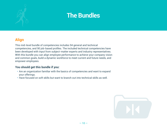

### **Align**

This mid-level bundle of competencies includes 94 general and technical competencies, and 90 job-based profiles. The included technical competencies have been developed with input from subject-matter experts and industry representatives. With this bundle you can align employee performance to achieve your company vision and common goals, build a dynamic workforce to meet current and future needs, and empower employees.

#### **You should get this bundle if you:**

- Are an organization familiar with the basics of competencies and want to expand your offerings.
- Have focused on soft skills but want to branch out into technical skills as well.

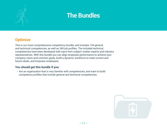

#### **Optimize**

This is our most comprehensive competency bundle, and includes 154 general and technical competencies, as well as 340 job profiles. The included technical competencies have been developed with input from subject-matter experts and industry representatives. With this bundle you can align employee performance to achieve your company vision and common goals, build a dynamic workforce to meet current and future needs, and empower employees.

#### **You should get this bundle if you:**

• Are an organization that is very familiar with competencies, and want to build competency profiles that include general and technical competencies.